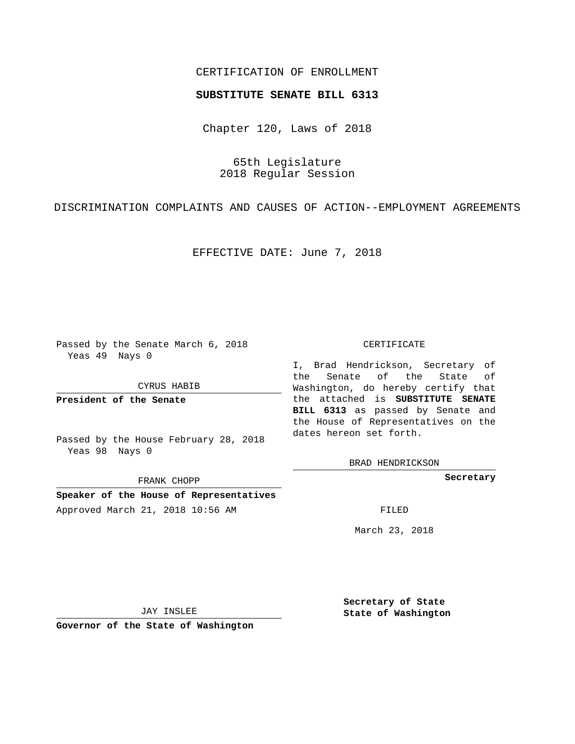## CERTIFICATION OF ENROLLMENT

### **SUBSTITUTE SENATE BILL 6313**

Chapter 120, Laws of 2018

65th Legislature 2018 Regular Session

DISCRIMINATION COMPLAINTS AND CAUSES OF ACTION--EMPLOYMENT AGREEMENTS

EFFECTIVE DATE: June 7, 2018

Passed by the Senate March 6, 2018 Yeas 49 Nays 0

CYRUS HABIB

**President of the Senate**

Passed by the House February 28, 2018 Yeas 98 Nays 0

FRANK CHOPP

**Speaker of the House of Representatives** Approved March 21, 2018 10:56 AM FILED

#### CERTIFICATE

I, Brad Hendrickson, Secretary of the Senate of the State of Washington, do hereby certify that the attached is **SUBSTITUTE SENATE BILL 6313** as passed by Senate and the House of Representatives on the dates hereon set forth.

BRAD HENDRICKSON

**Secretary**

March 23, 2018

JAY INSLEE

**Governor of the State of Washington**

**Secretary of State State of Washington**